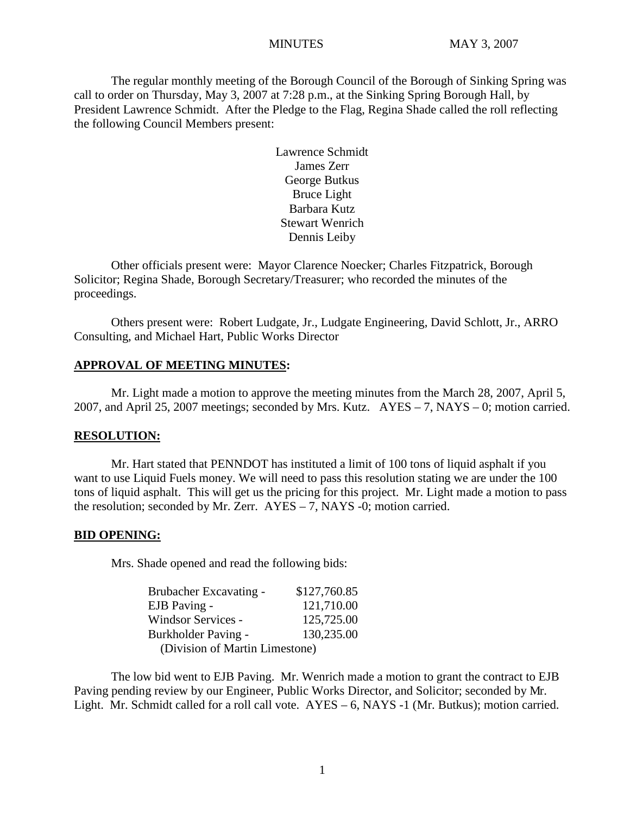The regular monthly meeting of the Borough Council of the Borough of Sinking Spring was call to order on Thursday, May 3, 2007 at 7:28 p.m., at the Sinking Spring Borough Hall, by President Lawrence Schmidt. After the Pledge to the Flag, Regina Shade called the roll reflecting the following Council Members present:

> Lawrence Schmidt James Zerr George Butkus Bruce Light Barbara Kutz Stewart Wenrich Dennis Leiby

Other officials present were: Mayor Clarence Noecker; Charles Fitzpatrick, Borough Solicitor; Regina Shade, Borough Secretary/Treasurer; who recorded the minutes of the proceedings.

Others present were: Robert Ludgate, Jr., Ludgate Engineering, David Schlott, Jr., ARRO Consulting, and Michael Hart, Public Works Director

#### **APPROVAL OF MEETING MINUTES:**

Mr. Light made a motion to approve the meeting minutes from the March 28, 2007, April 5, 2007, and April 25, 2007 meetings; seconded by Mrs. Kutz. AYES – 7, NAYS – 0; motion carried.

#### **RESOLUTION:**

Mr. Hart stated that PENNDOT has instituted a limit of 100 tons of liquid asphalt if you want to use Liquid Fuels money. We will need to pass this resolution stating we are under the 100 tons of liquid asphalt. This will get us the pricing for this project. Mr. Light made a motion to pass the resolution; seconded by Mr. Zerr. AYES – 7, NAYS -0; motion carried.

#### **BID OPENING:**

Mrs. Shade opened and read the following bids:

| Brubacher Excavating -         | \$127,760.85 |
|--------------------------------|--------------|
| EJB Paving -                   | 121,710.00   |
| Windsor Services -             | 125,725.00   |
| Burkholder Paving -            | 130,235.00   |
| (Division of Martin Limestone) |              |

The low bid went to EJB Paving. Mr. Wenrich made a motion to grant the contract to EJB Paving pending review by our Engineer, Public Works Director, and Solicitor; seconded by Mr. Light. Mr. Schmidt called for a roll call vote. AYES – 6, NAYS -1 (Mr. Butkus); motion carried.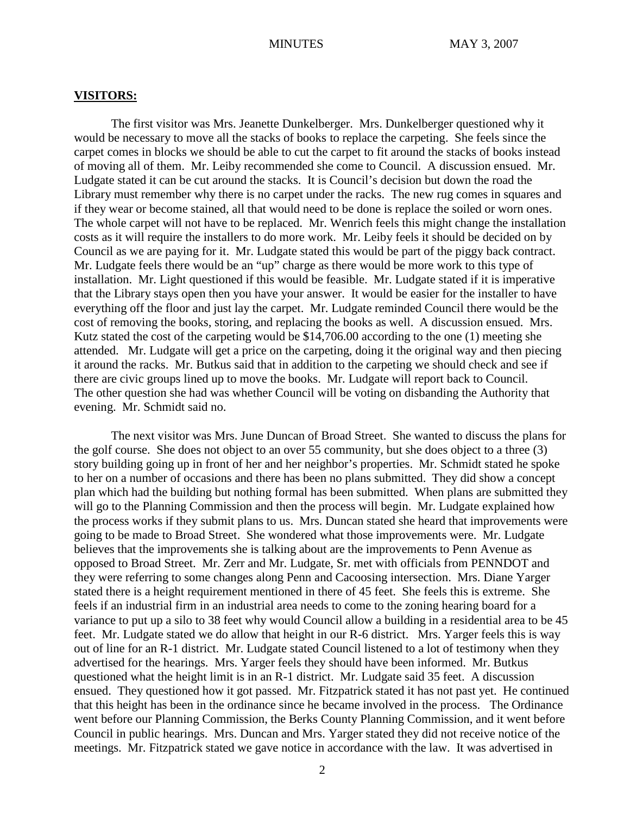#### **VISITORS:**

The first visitor was Mrs. Jeanette Dunkelberger. Mrs. Dunkelberger questioned why it would be necessary to move all the stacks of books to replace the carpeting. She feels since the carpet comes in blocks we should be able to cut the carpet to fit around the stacks of books instead of moving all of them. Mr. Leiby recommended she come to Council. A discussion ensued. Mr. Ludgate stated it can be cut around the stacks. It is Council's decision but down the road the Library must remember why there is no carpet under the racks. The new rug comes in squares and if they wear or become stained, all that would need to be done is replace the soiled or worn ones. The whole carpet will not have to be replaced. Mr. Wenrich feels this might change the installation costs as it will require the installers to do more work. Mr. Leiby feels it should be decided on by Council as we are paying for it. Mr. Ludgate stated this would be part of the piggy back contract. Mr. Ludgate feels there would be an "up" charge as there would be more work to this type of installation. Mr. Light questioned if this would be feasible. Mr. Ludgate stated if it is imperative that the Library stays open then you have your answer. It would be easier for the installer to have everything off the floor and just lay the carpet. Mr. Ludgate reminded Council there would be the cost of removing the books, storing, and replacing the books as well. A discussion ensued. Mrs. Kutz stated the cost of the carpeting would be \$14,706.00 according to the one (1) meeting she attended. Mr. Ludgate will get a price on the carpeting, doing it the original way and then piecing it around the racks. Mr. Butkus said that in addition to the carpeting we should check and see if there are civic groups lined up to move the books. Mr. Ludgate will report back to Council. The other question she had was whether Council will be voting on disbanding the Authority that evening. Mr. Schmidt said no.

The next visitor was Mrs. June Duncan of Broad Street. She wanted to discuss the plans for the golf course. She does not object to an over 55 community, but she does object to a three (3) story building going up in front of her and her neighbor's properties. Mr. Schmidt stated he spoke to her on a number of occasions and there has been no plans submitted. They did show a concept plan which had the building but nothing formal has been submitted. When plans are submitted they will go to the Planning Commission and then the process will begin. Mr. Ludgate explained how the process works if they submit plans to us. Mrs. Duncan stated she heard that improvements were going to be made to Broad Street. She wondered what those improvements were. Mr. Ludgate believes that the improvements she is talking about are the improvements to Penn Avenue as opposed to Broad Street. Mr. Zerr and Mr. Ludgate, Sr. met with officials from PENNDOT and they were referring to some changes along Penn and Cacoosing intersection. Mrs. Diane Yarger stated there is a height requirement mentioned in there of 45 feet. She feels this is extreme. She feels if an industrial firm in an industrial area needs to come to the zoning hearing board for a variance to put up a silo to 38 feet why would Council allow a building in a residential area to be 45 feet. Mr. Ludgate stated we do allow that height in our R-6 district. Mrs. Yarger feels this is way out of line for an R-1 district. Mr. Ludgate stated Council listened to a lot of testimony when they advertised for the hearings. Mrs. Yarger feels they should have been informed. Mr. Butkus questioned what the height limit is in an R-1 district. Mr. Ludgate said 35 feet. A discussion ensued. They questioned how it got passed. Mr. Fitzpatrick stated it has not past yet. He continued that this height has been in the ordinance since he became involved in the process. The Ordinance went before our Planning Commission, the Berks County Planning Commission, and it went before Council in public hearings. Mrs. Duncan and Mrs. Yarger stated they did not receive notice of the meetings. Mr. Fitzpatrick stated we gave notice in accordance with the law. It was advertised in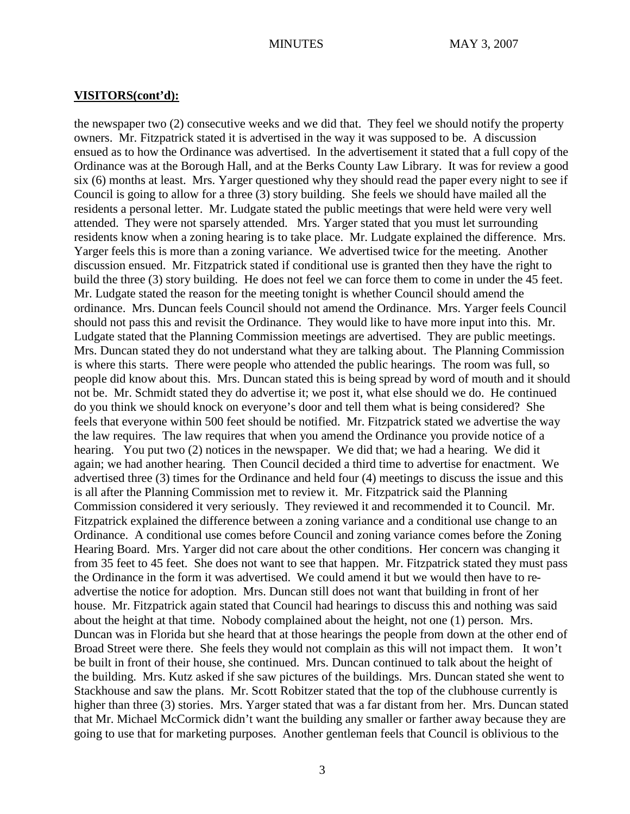#### **VISITORS(cont'd):**

the newspaper two (2) consecutive weeks and we did that. They feel we should notify the property owners. Mr. Fitzpatrick stated it is advertised in the way it was supposed to be. A discussion ensued as to how the Ordinance was advertised. In the advertisement it stated that a full copy of the Ordinance was at the Borough Hall, and at the Berks County Law Library. It was for review a good six (6) months at least. Mrs. Yarger questioned why they should read the paper every night to see if Council is going to allow for a three (3) story building. She feels we should have mailed all the residents a personal letter. Mr. Ludgate stated the public meetings that were held were very well attended. They were not sparsely attended. Mrs. Yarger stated that you must let surrounding residents know when a zoning hearing is to take place. Mr. Ludgate explained the difference. Mrs. Yarger feels this is more than a zoning variance. We advertised twice for the meeting. Another discussion ensued. Mr. Fitzpatrick stated if conditional use is granted then they have the right to build the three (3) story building. He does not feel we can force them to come in under the 45 feet. Mr. Ludgate stated the reason for the meeting tonight is whether Council should amend the ordinance. Mrs. Duncan feels Council should not amend the Ordinance. Mrs. Yarger feels Council should not pass this and revisit the Ordinance. They would like to have more input into this. Mr. Ludgate stated that the Planning Commission meetings are advertised. They are public meetings. Mrs. Duncan stated they do not understand what they are talking about. The Planning Commission is where this starts. There were people who attended the public hearings. The room was full, so people did know about this. Mrs. Duncan stated this is being spread by word of mouth and it should not be. Mr. Schmidt stated they do advertise it; we post it, what else should we do. He continued do you think we should knock on everyone's door and tell them what is being considered? She feels that everyone within 500 feet should be notified. Mr. Fitzpatrick stated we advertise the way the law requires. The law requires that when you amend the Ordinance you provide notice of a hearing. You put two (2) notices in the newspaper. We did that; we had a hearing. We did it again; we had another hearing. Then Council decided a third time to advertise for enactment. We advertised three (3) times for the Ordinance and held four (4) meetings to discuss the issue and this is all after the Planning Commission met to review it. Mr. Fitzpatrick said the Planning Commission considered it very seriously. They reviewed it and recommended it to Council. Mr. Fitzpatrick explained the difference between a zoning variance and a conditional use change to an Ordinance. A conditional use comes before Council and zoning variance comes before the Zoning Hearing Board. Mrs. Yarger did not care about the other conditions. Her concern was changing it from 35 feet to 45 feet. She does not want to see that happen. Mr. Fitzpatrick stated they must pass the Ordinance in the form it was advertised. We could amend it but we would then have to readvertise the notice for adoption. Mrs. Duncan still does not want that building in front of her house. Mr. Fitzpatrick again stated that Council had hearings to discuss this and nothing was said about the height at that time. Nobody complained about the height, not one (1) person. Mrs. Duncan was in Florida but she heard that at those hearings the people from down at the other end of Broad Street were there. She feels they would not complain as this will not impact them. It won't be built in front of their house, she continued. Mrs. Duncan continued to talk about the height of the building. Mrs. Kutz asked if she saw pictures of the buildings. Mrs. Duncan stated she went to Stackhouse and saw the plans. Mr. Scott Robitzer stated that the top of the clubhouse currently is higher than three (3) stories. Mrs. Yarger stated that was a far distant from her. Mrs. Duncan stated that Mr. Michael McCormick didn't want the building any smaller or farther away because they are going to use that for marketing purposes. Another gentleman feels that Council is oblivious to the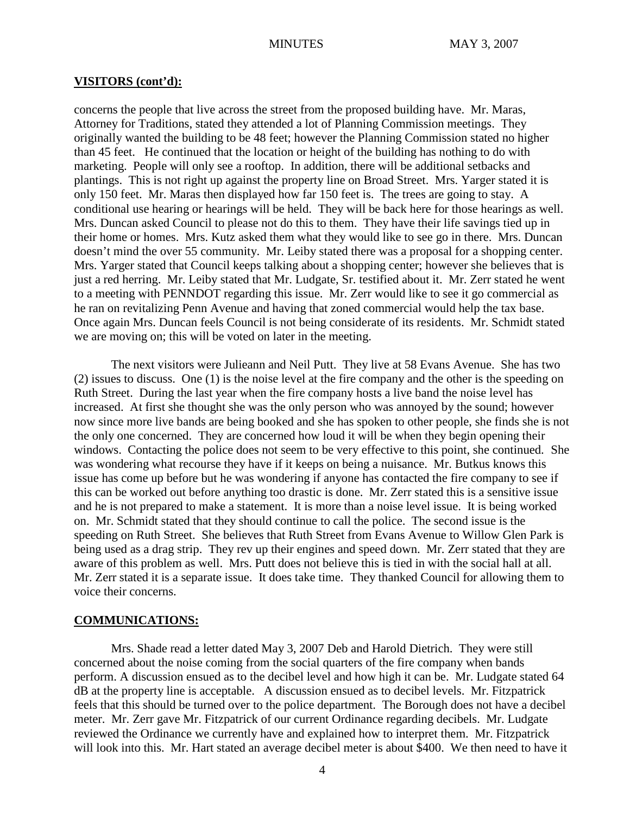#### **VISITORS (cont'd):**

concerns the people that live across the street from the proposed building have. Mr. Maras, Attorney for Traditions, stated they attended a lot of Planning Commission meetings. They originally wanted the building to be 48 feet; however the Planning Commission stated no higher than 45 feet. He continued that the location or height of the building has nothing to do with marketing. People will only see a rooftop. In addition, there will be additional setbacks and plantings. This is not right up against the property line on Broad Street. Mrs. Yarger stated it is only 150 feet. Mr. Maras then displayed how far 150 feet is. The trees are going to stay. A conditional use hearing or hearings will be held. They will be back here for those hearings as well. Mrs. Duncan asked Council to please not do this to them. They have their life savings tied up in their home or homes. Mrs. Kutz asked them what they would like to see go in there. Mrs. Duncan doesn't mind the over 55 community. Mr. Leiby stated there was a proposal for a shopping center. Mrs. Yarger stated that Council keeps talking about a shopping center; however she believes that is just a red herring. Mr. Leiby stated that Mr. Ludgate, Sr. testified about it. Mr. Zerr stated he went to a meeting with PENNDOT regarding this issue. Mr. Zerr would like to see it go commercial as he ran on revitalizing Penn Avenue and having that zoned commercial would help the tax base. Once again Mrs. Duncan feels Council is not being considerate of its residents. Mr. Schmidt stated we are moving on; this will be voted on later in the meeting.

The next visitors were Julieann and Neil Putt. They live at 58 Evans Avenue. She has two (2) issues to discuss. One (1) is the noise level at the fire company and the other is the speeding on Ruth Street. During the last year when the fire company hosts a live band the noise level has increased. At first she thought she was the only person who was annoyed by the sound; however now since more live bands are being booked and she has spoken to other people, she finds she is not the only one concerned. They are concerned how loud it will be when they begin opening their windows. Contacting the police does not seem to be very effective to this point, she continued. She was wondering what recourse they have if it keeps on being a nuisance. Mr. Butkus knows this issue has come up before but he was wondering if anyone has contacted the fire company to see if this can be worked out before anything too drastic is done. Mr. Zerr stated this is a sensitive issue and he is not prepared to make a statement. It is more than a noise level issue. It is being worked on. Mr. Schmidt stated that they should continue to call the police. The second issue is the speeding on Ruth Street. She believes that Ruth Street from Evans Avenue to Willow Glen Park is being used as a drag strip. They rev up their engines and speed down. Mr. Zerr stated that they are aware of this problem as well. Mrs. Putt does not believe this is tied in with the social hall at all. Mr. Zerr stated it is a separate issue. It does take time. They thanked Council for allowing them to voice their concerns.

#### **COMMUNICATIONS:**

Mrs. Shade read a letter dated May 3, 2007 Deb and Harold Dietrich. They were still concerned about the noise coming from the social quarters of the fire company when bands perform. A discussion ensued as to the decibel level and how high it can be. Mr. Ludgate stated 64 dB at the property line is acceptable. A discussion ensued as to decibel levels. Mr. Fitzpatrick feels that this should be turned over to the police department. The Borough does not have a decibel meter. Mr. Zerr gave Mr. Fitzpatrick of our current Ordinance regarding decibels. Mr. Ludgate reviewed the Ordinance we currently have and explained how to interpret them. Mr. Fitzpatrick will look into this. Mr. Hart stated an average decibel meter is about \$400. We then need to have it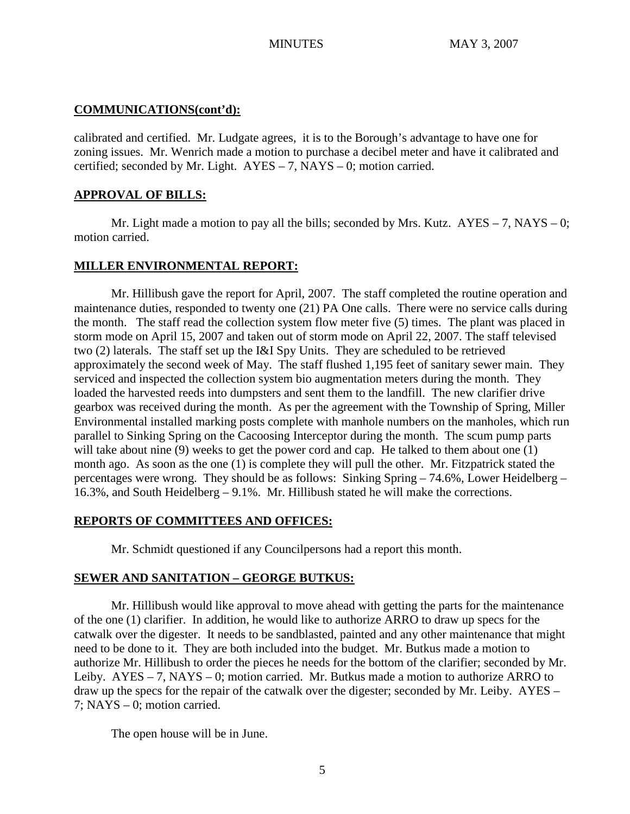# **COMMUNICATIONS(cont'd):**

calibrated and certified. Mr. Ludgate agrees, it is to the Borough's advantage to have one for zoning issues. Mr. Wenrich made a motion to purchase a decibel meter and have it calibrated and certified; seconded by Mr. Light.  $AYES - 7$ , NAYS – 0; motion carried.

# **APPROVAL OF BILLS:**

Mr. Light made a motion to pay all the bills; seconded by Mrs. Kutz.  $AYES - 7$ , NAYS – 0; motion carried.

# **MILLER ENVIRONMENTAL REPORT:**

Mr. Hillibush gave the report for April, 2007. The staff completed the routine operation and maintenance duties, responded to twenty one (21) PA One calls. There were no service calls during the month. The staff read the collection system flow meter five (5) times. The plant was placed in storm mode on April 15, 2007 and taken out of storm mode on April 22, 2007. The staff televised two (2) laterals. The staff set up the I&I Spy Units. They are scheduled to be retrieved approximately the second week of May. The staff flushed 1,195 feet of sanitary sewer main. They serviced and inspected the collection system bio augmentation meters during the month. They loaded the harvested reeds into dumpsters and sent them to the landfill. The new clarifier drive gearbox was received during the month. As per the agreement with the Township of Spring, Miller Environmental installed marking posts complete with manhole numbers on the manholes, which run parallel to Sinking Spring on the Cacoosing Interceptor during the month. The scum pump parts will take about nine (9) weeks to get the power cord and cap. He talked to them about one (1) month ago. As soon as the one (1) is complete they will pull the other. Mr. Fitzpatrick stated the percentages were wrong. They should be as follows: Sinking Spring – 74.6%, Lower Heidelberg – 16.3%, and South Heidelberg – 9.1%. Mr. Hillibush stated he will make the corrections.

# **REPORTS OF COMMITTEES AND OFFICES:**

Mr. Schmidt questioned if any Councilpersons had a report this month.

# **SEWER AND SANITATION – GEORGE BUTKUS:**

Mr. Hillibush would like approval to move ahead with getting the parts for the maintenance of the one (1) clarifier. In addition, he would like to authorize ARRO to draw up specs for the catwalk over the digester. It needs to be sandblasted, painted and any other maintenance that might need to be done to it. They are both included into the budget. Mr. Butkus made a motion to authorize Mr. Hillibush to order the pieces he needs for the bottom of the clarifier; seconded by Mr. Leiby. AYES – 7, NAYS – 0; motion carried. Mr. Butkus made a motion to authorize ARRO to draw up the specs for the repair of the catwalk over the digester; seconded by Mr. Leiby. AYES – 7; NAYS – 0; motion carried.

The open house will be in June.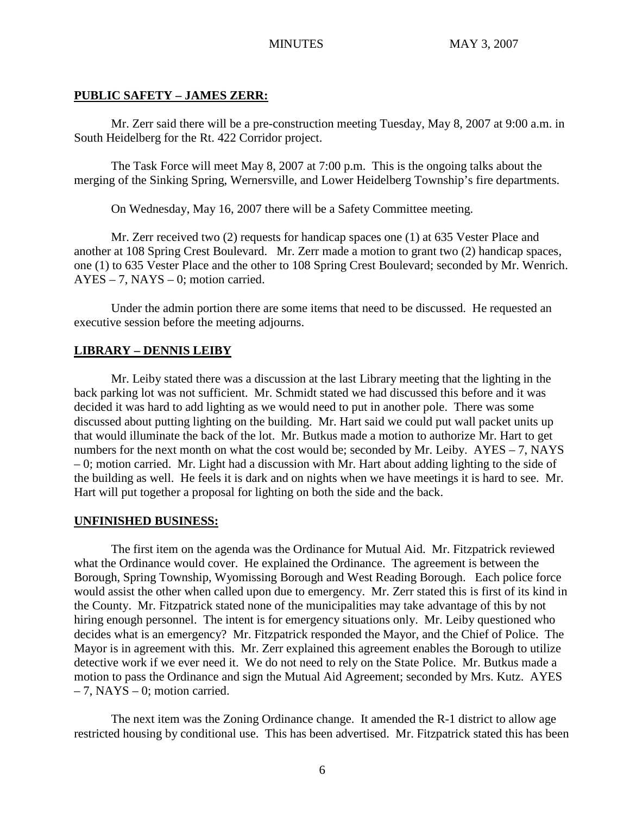## **PUBLIC SAFETY – JAMES ZERR:**

Mr. Zerr said there will be a pre-construction meeting Tuesday, May 8, 2007 at 9:00 a.m. in South Heidelberg for the Rt. 422 Corridor project.

The Task Force will meet May 8, 2007 at 7:00 p.m. This is the ongoing talks about the merging of the Sinking Spring, Wernersville, and Lower Heidelberg Township's fire departments.

On Wednesday, May 16, 2007 there will be a Safety Committee meeting.

Mr. Zerr received two (2) requests for handicap spaces one (1) at 635 Vester Place and another at 108 Spring Crest Boulevard. Mr. Zerr made a motion to grant two (2) handicap spaces, one (1) to 635 Vester Place and the other to 108 Spring Crest Boulevard; seconded by Mr. Wenrich. AYES – 7, NAYS – 0; motion carried.

Under the admin portion there are some items that need to be discussed. He requested an executive session before the meeting adjourns.

## **LIBRARY – DENNIS LEIBY**

Mr. Leiby stated there was a discussion at the last Library meeting that the lighting in the back parking lot was not sufficient. Mr. Schmidt stated we had discussed this before and it was decided it was hard to add lighting as we would need to put in another pole. There was some discussed about putting lighting on the building. Mr. Hart said we could put wall packet units up that would illuminate the back of the lot. Mr. Butkus made a motion to authorize Mr. Hart to get numbers for the next month on what the cost would be; seconded by Mr. Leiby. AYES – 7, NAYS – 0; motion carried. Mr. Light had a discussion with Mr. Hart about adding lighting to the side of the building as well. He feels it is dark and on nights when we have meetings it is hard to see. Mr. Hart will put together a proposal for lighting on both the side and the back.

## **UNFINISHED BUSINESS:**

The first item on the agenda was the Ordinance for Mutual Aid. Mr. Fitzpatrick reviewed what the Ordinance would cover. He explained the Ordinance. The agreement is between the Borough, Spring Township, Wyomissing Borough and West Reading Borough. Each police force would assist the other when called upon due to emergency. Mr. Zerr stated this is first of its kind in the County. Mr. Fitzpatrick stated none of the municipalities may take advantage of this by not hiring enough personnel. The intent is for emergency situations only. Mr. Leiby questioned who decides what is an emergency? Mr. Fitzpatrick responded the Mayor, and the Chief of Police. The Mayor is in agreement with this. Mr. Zerr explained this agreement enables the Borough to utilize detective work if we ever need it. We do not need to rely on the State Police. Mr. Butkus made a motion to pass the Ordinance and sign the Mutual Aid Agreement; seconded by Mrs. Kutz. AYES  $-7$ , NAYS  $-0$ ; motion carried.

The next item was the Zoning Ordinance change. It amended the R-1 district to allow age restricted housing by conditional use. This has been advertised. Mr. Fitzpatrick stated this has been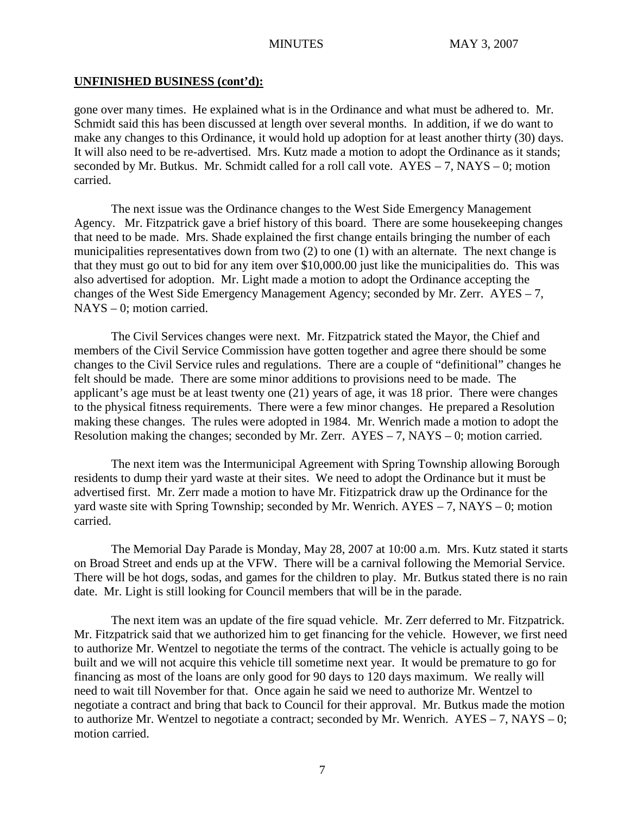## **UNFINISHED BUSINESS (cont'd):**

gone over many times. He explained what is in the Ordinance and what must be adhered to. Mr. Schmidt said this has been discussed at length over several months. In addition, if we do want to make any changes to this Ordinance, it would hold up adoption for at least another thirty (30) days. It will also need to be re-advertised. Mrs. Kutz made a motion to adopt the Ordinance as it stands; seconded by Mr. Butkus. Mr. Schmidt called for a roll call vote.  $AYES - 7$ ,  $NAYS - 0$ ; motion carried.

The next issue was the Ordinance changes to the West Side Emergency Management Agency. Mr. Fitzpatrick gave a brief history of this board. There are some housekeeping changes that need to be made. Mrs. Shade explained the first change entails bringing the number of each municipalities representatives down from two (2) to one (1) with an alternate. The next change is that they must go out to bid for any item over \$10,000.00 just like the municipalities do. This was also advertised for adoption. Mr. Light made a motion to adopt the Ordinance accepting the changes of the West Side Emergency Management Agency; seconded by Mr. Zerr. AYES – 7, NAYS – 0; motion carried.

The Civil Services changes were next. Mr. Fitzpatrick stated the Mayor, the Chief and members of the Civil Service Commission have gotten together and agree there should be some changes to the Civil Service rules and regulations. There are a couple of "definitional" changes he felt should be made. There are some minor additions to provisions need to be made. The applicant's age must be at least twenty one (21) years of age, it was 18 prior. There were changes to the physical fitness requirements. There were a few minor changes. He prepared a Resolution making these changes. The rules were adopted in 1984. Mr. Wenrich made a motion to adopt the Resolution making the changes; seconded by Mr. Zerr.  $AYES - 7$ ,  $NAYS - 0$ ; motion carried.

The next item was the Intermunicipal Agreement with Spring Township allowing Borough residents to dump their yard waste at their sites. We need to adopt the Ordinance but it must be advertised first. Mr. Zerr made a motion to have Mr. Fitizpatrick draw up the Ordinance for the yard waste site with Spring Township; seconded by Mr. Wenrich. AYES – 7, NAYS – 0; motion carried.

The Memorial Day Parade is Monday, May 28, 2007 at 10:00 a.m. Mrs. Kutz stated it starts on Broad Street and ends up at the VFW. There will be a carnival following the Memorial Service. There will be hot dogs, sodas, and games for the children to play. Mr. Butkus stated there is no rain date. Mr. Light is still looking for Council members that will be in the parade.

The next item was an update of the fire squad vehicle. Mr. Zerr deferred to Mr. Fitzpatrick. Mr. Fitzpatrick said that we authorized him to get financing for the vehicle. However, we first need to authorize Mr. Wentzel to negotiate the terms of the contract. The vehicle is actually going to be built and we will not acquire this vehicle till sometime next year. It would be premature to go for financing as most of the loans are only good for 90 days to 120 days maximum. We really will need to wait till November for that. Once again he said we need to authorize Mr. Wentzel to negotiate a contract and bring that back to Council for their approval. Mr. Butkus made the motion to authorize Mr. Wentzel to negotiate a contract; seconded by Mr. Wenrich.  $AYES - 7$ ,  $NAYS - 0$ ; motion carried.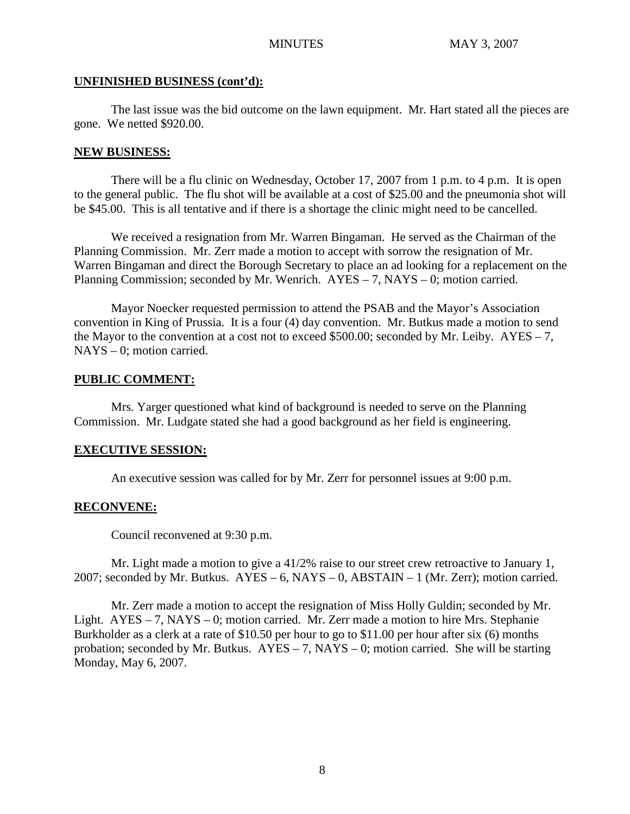## **UNFINISHED BUSINESS (cont'd):**

The last issue was the bid outcome on the lawn equipment. Mr. Hart stated all the pieces are gone. We netted \$920.00.

## **NEW BUSINESS:**

There will be a flu clinic on Wednesday, October 17, 2007 from 1 p.m. to 4 p.m. It is open to the general public. The flu shot will be available at a cost of \$25.00 and the pneumonia shot will be \$45.00. This is all tentative and if there is a shortage the clinic might need to be cancelled.

We received a resignation from Mr. Warren Bingaman. He served as the Chairman of the Planning Commission. Mr. Zerr made a motion to accept with sorrow the resignation of Mr. Warren Bingaman and direct the Borough Secretary to place an ad looking for a replacement on the Planning Commission; seconded by Mr. Wenrich. AYES – 7, NAYS – 0; motion carried.

Mayor Noecker requested permission to attend the PSAB and the Mayor's Association convention in King of Prussia. It is a four (4) day convention. Mr. Butkus made a motion to send the Mayor to the convention at a cost not to exceed \$500.00; seconded by Mr. Leiby.  $AYES - 7$ , NAYS – 0; motion carried.

# **PUBLIC COMMENT:**

Mrs. Yarger questioned what kind of background is needed to serve on the Planning Commission. Mr. Ludgate stated she had a good background as her field is engineering.

# **EXECUTIVE SESSION:**

An executive session was called for by Mr. Zerr for personnel issues at 9:00 p.m.

# **RECONVENE:**

Council reconvened at 9:30 p.m.

Mr. Light made a motion to give a 41/2% raise to our street crew retroactive to January 1, 2007; seconded by Mr. Butkus. AYES – 6, NAYS – 0, ABSTAIN – 1 (Mr. Zerr); motion carried.

Mr. Zerr made a motion to accept the resignation of Miss Holly Guldin; seconded by Mr. Light. AYES – 7, NAYS – 0; motion carried. Mr. Zerr made a motion to hire Mrs. Stephanie Burkholder as a clerk at a rate of \$10.50 per hour to go to \$11.00 per hour after six (6) months probation; seconded by Mr. Butkus.  $AYES - 7$ ,  $NAYS - 0$ ; motion carried. She will be starting Monday, May 6, 2007.